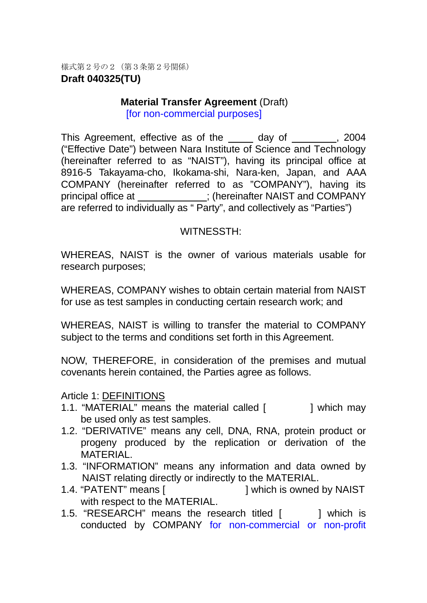様式第2号の2(第3条第2号関係) **Draft 040325(TU)**

#### **Material Transfer Agreement (Draft)** [for non-commercial purposes]

This Agreement, effective as of the day of , 2004 ("Effective Date") between Nara Institute of Science and Technology (hereinafter referred to as "NAIST"), having its principal office at 8916-5 Takayama-cho, Ikokama-shi, Nara-ken, Japan, and AAA COMPANY (hereinafter referred to as "COMPANY"), having its principal office at \_\_\_\_\_\_\_\_\_\_\_; (hereinafter NAIST and COMPANY are referred to individually as " Party", and collectively as "Parties")

### WITNESSTH:

WHEREAS, NAIST is the owner of various materials usable for research purposes;

WHEREAS, COMPANY wishes to obtain certain material from NAIST for use as test samples in conducting certain research work; and

WHEREAS, NAIST is willing to transfer the material to COMPANY subject to the terms and conditions set forth in this Agreement.

NOW, THEREFORE, in consideration of the premises and mutual covenants herein contained, the Parties agree as follows.

#### Article 1: DEFINITIONS

- 1.1. "MATERIAL" means the material called [ ] which may be used only as test samples.
- 1.2. "DERIVATIVE" means any cell, DNA, RNA, protein product or progeny produced by the replication or derivation of the MATERIAL.
- 1.3. "INFORMATION" means any information and data owned by NAIST relating directly or indirectly to the MATERIAL.
- 1.4. "PATENT" means [  $\qquad \qquad$  ] which is owned by NAIST with respect to the MATERIAL.
- 1.5. "RESEARCH" means the research titled [ ] which is conducted by COMPANY for non-commercial or non-profit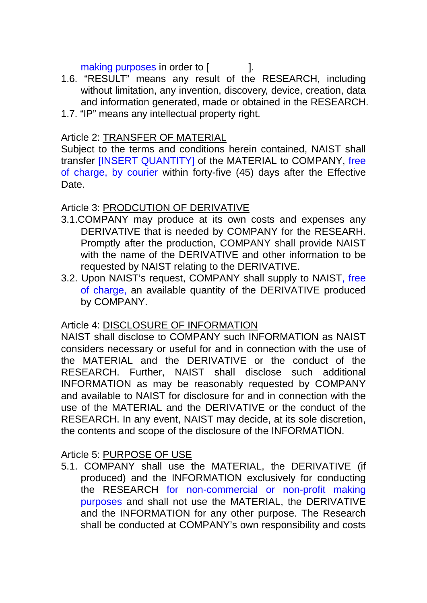making purposes in order to [

- 1.6. "RESULT" means any result of the RESEARCH, including without limitation, any invention, discovery, device, creation, data and information generated, made or obtained in the RESEARCH.
- 1.7. "IP" means any intellectual property right.

## Article 2: TRANSFER OF MATERIAL

Subject to the terms and conditions herein contained, NAIST shall transfer [INSERT QUANTITY] of the MATERIAL to COMPANY, free of charge, by courier within forty-five (45) days after the Effective Date.

#### Article 3: PRODCUTION OF DERIVATIVE

- 3.1.COMPANY may produce at its own costs and expenses any DERIVATIVE that is needed by COMPANY for the RESEARH. Promptly after the production, COMPANY shall provide NAIST with the name of the DERIVATIVE and other information to be requested by NAIST relating to the DERIVATIVE.
- 3.2. Upon NAIST's request, COMPANY shall supply to NAIST, free of charge, an available quantity of the DERIVATIVE produced by COMPANY.

# Article 4: DISCLOSURE OF INFORMATION

NAIST shall disclose to COMPANY such INFORMATION as NAIST considers necessary or useful for and in connection with the use of the MATERIAL and the DERIVATIVE or the conduct of the RESEARCH. Further, NAIST shall disclose such additional INFORMATION as may be reasonably requested by COMPANY and available to NAIST for disclosure for and in connection with the use of the MATERIAL and the DERIVATIVE or the conduct of the RESEARCH. In any event, NAIST may decide, at its sole discretion, the contents and scope of the disclosure of the INFORMATION.

### Article 5: PURPOSE OF USE

5.1. COMPANY shall use the MATERIAL, the DERIVATIVE (if produced) and the INFORMATION exclusively for conducting the RESEARCH for non-commercial or non-profit making purposes and shall not use the MATERIAL, the DERIVATIVE and the INFORMATION for any other purpose. The Research shall be conducted at COMPANY's own responsibility and costs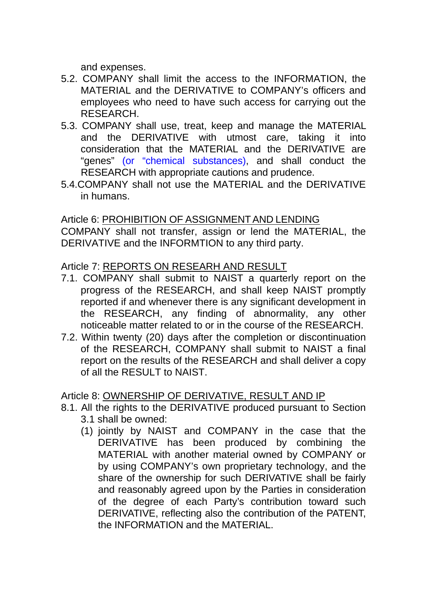and expenses.

- 5.2. COMPANY shall limit the access to the INFORMATION, the MATERIAL and the DERIVATIVE to COMPANY's officers and employees who need to have such access for carrying out the RESEARCH.
- 5.3. COMPANY shall use, treat, keep and manage the MATERIAL and the DERIVATIVE with utmost care, taking it into consideration that the MATERIAL and the DERIVATIVE are "genes" (or "chemical substances), and shall conduct the RESEARCH with appropriate cautions and prudence.
- 5.4.COMPANY shall not use the MATERIAL and the DERIVATIVE in humans.

### Article 6: PROHIBITION OF ASSIGNMENTAND LENDING

COMPANY shall not transfer, assign or lend the MATERIAL, the DERIVATIVE and the INFORMTION to any third party.

### Article 7: REPORTS ON RESEARH AND RESULT

- 7.1. COMPANY shall submit to NAIST a quarterly report on the progress of the RESEARCH, and shall keep NAIST promptly reported if and whenever there is any significant development in the RESEARCH, any finding of abnormality, any other noticeable matter related to or in the course of the RESEARCH.
- 7.2. Within twenty (20) days after the completion or discontinuation of the RESEARCH, COMPANY shall submit to NAIST a final report on the results of the RESEARCH and shall deliver a copy of all the RESULT to NAIST.

### Article 8: OWNERSHIP OF DERIVATIVE, RESULT AND IP

- 8.1. All the rights to the DERIVATIVE produced pursuant to Section
	- 3.1 shall be owned:
	- (1) jointly by NAIST and COMPANY in the case that the DERIVATIVE has been produced by combining the MATERIAL with another material owned by COMPANY or by using COMPANY's own proprietary technology, and the share of the ownership for such DERIVATIVE shall be fairly and reasonably agreed upon by the Parties in consideration of the degree of each Party's contribution toward such DERIVATIVE, reflecting also the contribution of the PATENT, the INFORMATION and the MATERIAL.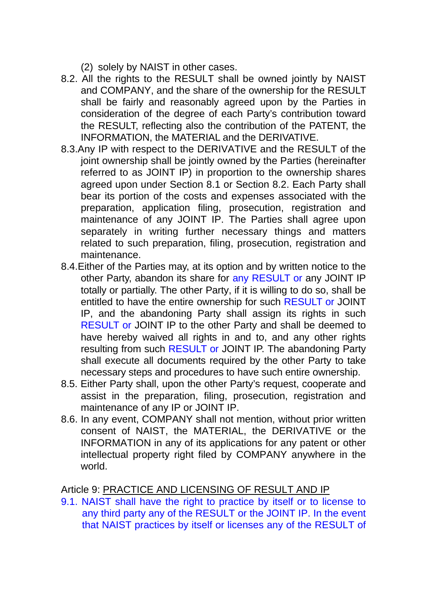- (2) solely by NAIST in other cases.
- 8.2. All the rights to the RESULT shall be owned jointly by NAIST and COMPANY, and the share of the ownership for the RESULT shall be fairly and reasonably agreed upon by the Parties in consideration of the degree of each Party's contribution toward the RESULT, reflecting also the contribution of the PATENT, the INFORMATION, the MATERIAL and the DERIVATIVE.
- 8.3.Any IP with respect to the DERIVATIVE and the RESULT of the joint ownership shall be jointly owned by the Parties (hereinafter referred to as JOINT IP) in proportion to the ownership shares agreed upon under Section 8.1 or Section 8.2. Each Party shall bear its portion of the costs and expenses associated with the preparation, application filing, prosecution, registration and maintenance of any JOINT IP. The Parties shall agree upon separately in writing further necessary things and matters related to such preparation, filing, prosecution, registration and maintenance.
- 8.4.Either of the Parties may, at its option and by written notice to the other Party, abandon its share for any RESULT or any JOINT IP totally or partially. The other Party, if it is willing to do so, shall be entitled to have the entire ownership for such RESULT or JOINT IP, and the abandoning Party shall assign its rights in such RESULT or JOINT IP to the other Party and shall be deemed to have hereby waived all rights in and to, and any other rights resulting from such RESULT or JOINT IP. The abandoning Party shall execute all documents required by the other Party to take necessary steps and procedures to have such entire ownership.
- 8.5. Either Party shall, upon the other Party's request, cooperate and assist in the preparation, filing, prosecution, registration and maintenance of any IP or JOINT IP.
- 8.6. In any event, COMPANY shall not mention, without prior written consent of NAIST, the MATERIAL, the DERIVATIVE or the INFORMATION in any of its applications for any patent or other intellectual property right filed by COMPANY anywhere in the world.

Article 9: PRACTICE AND LICENSING OF RESULT AND IP

9.1. NAIST shall have the right to practice by itself or to license to any third party any of the RESULT or the JOINT IP. In the event that NAIST practices by itself or licenses any of the RESULT of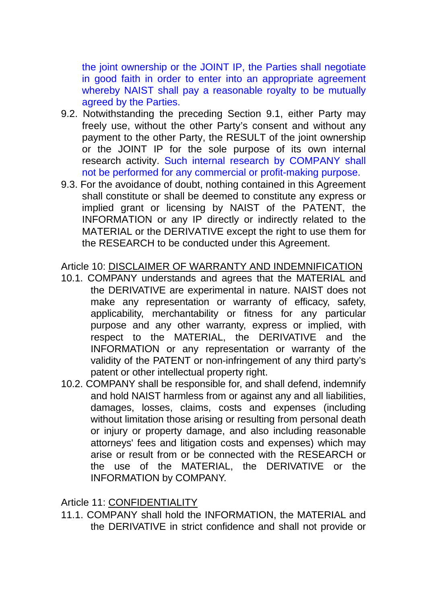the joint ownership or the JOINT IP, the Parties shall negotiate in good faith in order to enter into an appropriate agreement whereby NAIST shall pay a reasonable royalty to be mutually agreed by the Parties.

- 9.2. Notwithstanding the preceding Section 9.1, either Party may freely use, without the other Party's consent and without any payment to the other Party, the RESULT of the joint ownership or the JOINT IP for the sole purpose of its own internal research activity. Such internal research by COMPANY shall not be performed for any commercial or profit-making purpose.
- 9.3. For the avoidance of doubt, nothing contained in this Agreement shall constitute or shall be deemed to constitute any express or implied grant or licensing by NAIST of the PATENT, the INFORMATION or any IP directly or indirectly related to the MATERIAL or the DERIVATIVE except the right to use them for the RESEARCH to be conducted under this Agreement.

#### Article 10: DISCLAIMER OF WARRANTY AND INDEMNIFICATION

- 10.1. COMPANY understands and agrees that the MATERIAL and the DERIVATIVE are experimental in nature. NAIST does not make any representation or warranty of efficacy, safety, applicability, merchantability or fitness for any particular purpose and any other warranty, express or implied, with respect to the MATERIAL, the DERIVATIVE and the INFORMATION or any representation or warranty of the validity of the PATENT or non-infringement of any third party's patent or other intellectual property right.
- 10.2. COMPANY shall be responsible for, and shall defend, indemnify and hold NAIST harmless from or against any and all liabilities, damages, losses, claims, costs and expenses (including without limitation those arising or resulting from personal death or injury or property damage, and also including reasonable attorneys' fees and litigation costs and expenses) which may arise or result from or be connected with the RESEARCH or the use of the MATERIAL, the DERIVATIVE or the INFORMATION by COMPANY.

Article 11: CONFIDENTIALITY

11.1. COMPANY shall hold the INFORMATION, the MATERIAL and the DERIVATIVE in strict confidence and shall not provide or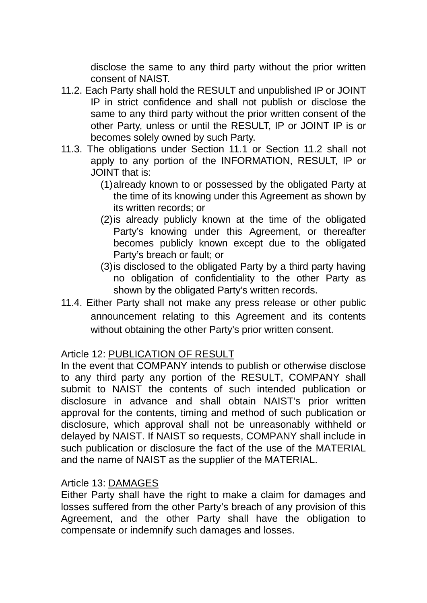disclose the same to any third party without the prior written consent of NAIST.

- 11.2. Each Party shall hold the RESULT and unpublished IP or JOINT IP in strict confidence and shall not publish or disclose the same to any third party without the prior written consent of the other Party, unless or until the RESULT, IP or JOINT IP is or becomes solely owned by such Party.
- 11.3. The obligations under Section 11.1 or Section 11.2 shall not apply to any portion of the INFORMATION, RESULT, IP or JOINT that is:
	- (1) already known to or possessed by the obligated Party at the time of its knowing under this Agreement as shown by its written records; or
	- (2) is already publicly known at the time of the obligated Party's knowing under this Agreement, or thereafter becomes publicly known except due to the obligated Party's breach or fault; or
	- (3) is disclosed to the obligated Party by a third party having no obligation of confidentiality to the other Party as shown by the obligated Party's written records.
- 11.4. Either Party shall not make any press release or other public announcement relating to this Agreement and its contents without obtaining the other Party's prior written consent.

# Article 12: PUBLICATION OF RESULT

In the event that COMPANY intends to publish or otherwise disclose to any third party any portion of the RESULT, COMPANY shall submit to NAIST the contents of such intended publication or disclosure in advance and shall obtain NAIST's prior written approval for the contents, timing and method of such publication or disclosure, which approval shall not be unreasonably withheld or delayed by NAIST. If NAIST so requests, COMPANY shall include in such publication or disclosure the fact of the use of the MATERIAL and the name of NAIST as the supplier of the MATERIAL.

### Article 13: DAMAGES

Either Party shall have the right to make a claim for damages and losses suffered from the other Party's breach of any provision of this Agreement, and the other Party shall have the obligation to compensate or indemnify such damages and losses.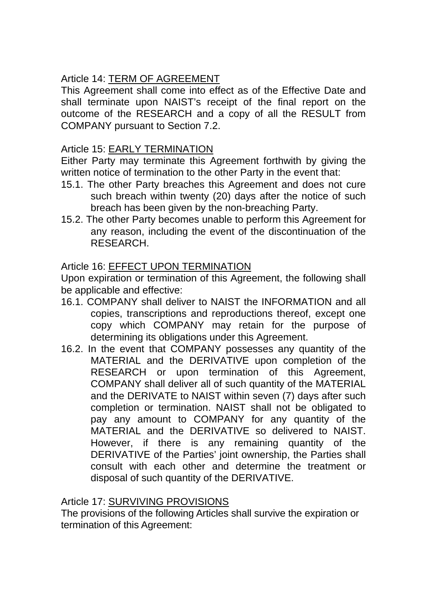# Article 14: TERM OF AGREEMENT

This Agreement shall come into effect as of the Effective Date and shall terminate upon NAIST's receipt of the final report on the outcome of the RESEARCH and a copy of all the RESULT from COMPANY pursuant to Section 7.2.

### Article 15: EARLY TERMINATION

Either Party may terminate this Agreement forthwith by giving the written notice of termination to the other Party in the event that:

- 15.1. The other Party breaches this Agreement and does not cure such breach within twenty (20) days after the notice of such breach has been given by the non-breaching Party.
- 15.2. The other Party becomes unable to perform this Agreement for any reason, including the event of the discontinuation of the RESEARCH.

## Article 16: EFFECT UPON TERMINATION

Upon expiration or termination of this Agreement, the following shall be applicable and effective:

- 16.1. COMPANY shall deliver to NAIST the INFORMATION and all copies, transcriptions and reproductions thereof, except one copy which COMPANY may retain for the purpose of determining its obligations under this Agreement.
- 16.2. In the event that COMPANY possesses any quantity of the MATERIAL and the DERIVATIVE upon completion of the RESEARCH or upon termination of this Agreement, COMPANY shall deliver all of such quantity of the MATERIAL and the DERIVATE to NAIST within seven (7) days after such completion or termination. NAIST shall not be obligated to pay any amount to COMPANY for any quantity of the MATERIAL and the DERIVATIVE so delivered to NAIST. However, if there is any remaining quantity of the DERIVATIVE of the Parties' joint ownership, the Parties shall consult with each other and determine the treatment or disposal of such quantity of the DERIVATIVE.

### Article 17: SURVIVING PROVISIONS

The provisions of the following Articles shall survive the expiration or termination of this Agreement: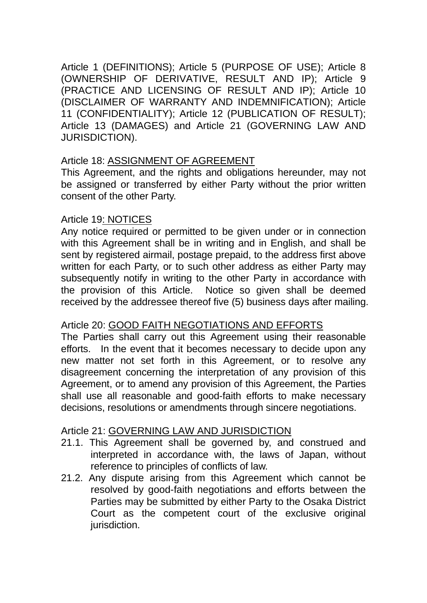Article 1 (DEFINITIONS); Article 5 (PURPOSE OF USE); Article 8 (OWNERSHIP OF DERIVATIVE, RESULT AND IP); Article 9 (PRACTICE AND LICENSING OF RESULT AND IP); Article 10 (DISCLAIMER OF WARRANTY AND INDEMNIFICATION); Article 11 (CONFIDENTIALITY); Article 12 (PUBLICATION OF RESULT); Article 13 (DAMAGES) and Article 21 (GOVERNING LAW AND JURISDICTION).

### Article 18: ASSIGNMENT OF AGREEMENT

This Agreement, and the rights and obligations hereunder, may not be assigned or transferred by either Party without the prior written consent of the other Party.

### Article 19: NOTICES

Any notice required or permitted to be given under or in connection with this Agreement shall be in writing and in English, and shall be sent by registered airmail, postage prepaid, to the address first above written for each Party, or to such other address as either Party may subsequently notify in writing to the other Party in accordance with the provision of this Article. Notice so given shall be deemed received by the addressee thereof five (5) business days after mailing.

### Article 20: GOOD FAITH NEGOTIATIONS AND EFFORTS

The Parties shall carry out this Agreement using their reasonable efforts. In the event that it becomes necessary to decide upon any new matter not set forth in this Agreement, or to resolve any disagreement concerning the interpretation of any provision of this Agreement, or to amend any provision of this Agreement, the Parties shall use all reasonable and good-faith efforts to make necessary decisions, resolutions or amendments through sincere negotiations.

### Article 21: GOVERNING LAW AND JURISDICTION

- 21.1. This Agreement shall be governed by, and construed and interpreted in accordance with, the laws of Japan, without reference to principles of conflicts of law.
- 21.2. Any dispute arising from this Agreement which cannot be resolved by good-faith negotiations and efforts between the Parties may be submitted by either Party to the Osaka District Court as the competent court of the exclusive original jurisdiction.